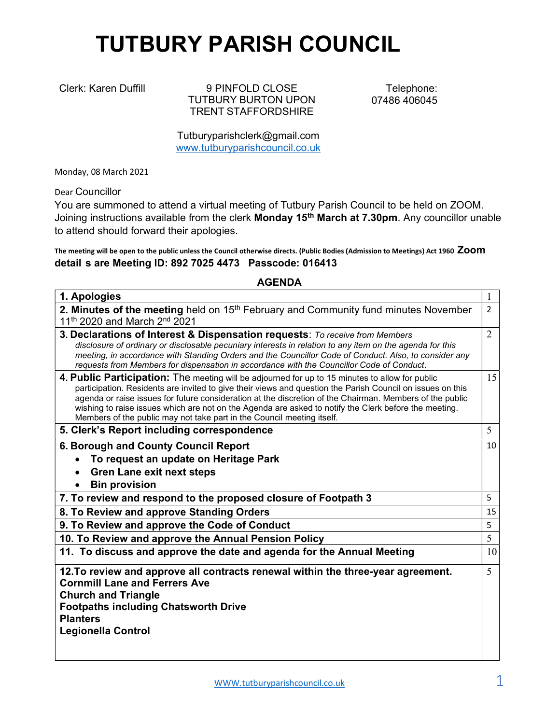## TUTBURY PARISH COUNCIL

Clerk: Karen Duffill 9 PINFOLD CLOSE TUTBURY BURTON UPON TRENT STAFFORDSHIRE

Telephone: 07486 406045

Tutburyparishclerk@gmail.com www.tutburyparishcouncil.co.uk

Monday, 08 March 2021

Dear Councillor

You are summoned to attend a virtual meeting of Tutbury Parish Council to be held on ZOOM. Joining instructions available from the clerk Monday 15<sup>th</sup> March at 7.30pm. Any councillor unable to attend should forward their apologies.

The meeting will be open to the public unless the Council otherwise directs. (Public Bodies (Admission to Meetings) Act 1960 ZOOM detail s are Meeting ID: 892 7025 4473 Passcode: 016413

## AGENDA

| 1. Apologies                                                                                                                                                                                                                                                                                                                                                                                                                                                                                                 | 1              |
|--------------------------------------------------------------------------------------------------------------------------------------------------------------------------------------------------------------------------------------------------------------------------------------------------------------------------------------------------------------------------------------------------------------------------------------------------------------------------------------------------------------|----------------|
| 2. Minutes of the meeting held on 15 <sup>th</sup> February and Community fund minutes November<br>11 <sup>th</sup> 2020 and March 2 <sup>nd</sup> 2021                                                                                                                                                                                                                                                                                                                                                      | $\overline{2}$ |
| 3. Declarations of Interest & Dispensation requests: To receive from Members<br>disclosure of ordinary or disclosable pecuniary interests in relation to any item on the agenda for this<br>meeting, in accordance with Standing Orders and the Councillor Code of Conduct. Also, to consider any<br>requests from Members for dispensation in accordance with the Councillor Code of Conduct.                                                                                                               | $\overline{2}$ |
| 4. Public Participation: The meeting will be adjourned for up to 15 minutes to allow for public<br>participation. Residents are invited to give their views and question the Parish Council on issues on this<br>agenda or raise issues for future consideration at the discretion of the Chairman. Members of the public<br>wishing to raise issues which are not on the Agenda are asked to notify the Clerk before the meeting.<br>Members of the public may not take part in the Council meeting itself. | 15             |
| 5. Clerk's Report including correspondence                                                                                                                                                                                                                                                                                                                                                                                                                                                                   | 5              |
| 6. Borough and County Council Report<br>To request an update on Heritage Park<br><b>Gren Lane exit next steps</b><br><b>Bin provision</b>                                                                                                                                                                                                                                                                                                                                                                    | 10             |
| 7. To review and respond to the proposed closure of Footpath 3                                                                                                                                                                                                                                                                                                                                                                                                                                               | 5              |
| 8. To Review and approve Standing Orders                                                                                                                                                                                                                                                                                                                                                                                                                                                                     | 15             |
| 9. To Review and approve the Code of Conduct                                                                                                                                                                                                                                                                                                                                                                                                                                                                 | 5              |
| 10. To Review and approve the Annual Pension Policy                                                                                                                                                                                                                                                                                                                                                                                                                                                          | 5              |
| 11. To discuss and approve the date and agenda for the Annual Meeting                                                                                                                                                                                                                                                                                                                                                                                                                                        | 10             |
| 12. To review and approve all contracts renewal within the three-year agreement.<br><b>Cornmill Lane and Ferrers Ave</b><br><b>Church and Triangle</b><br><b>Footpaths including Chatsworth Drive</b><br><b>Planters</b><br><b>Legionella Control</b>                                                                                                                                                                                                                                                        | 5              |